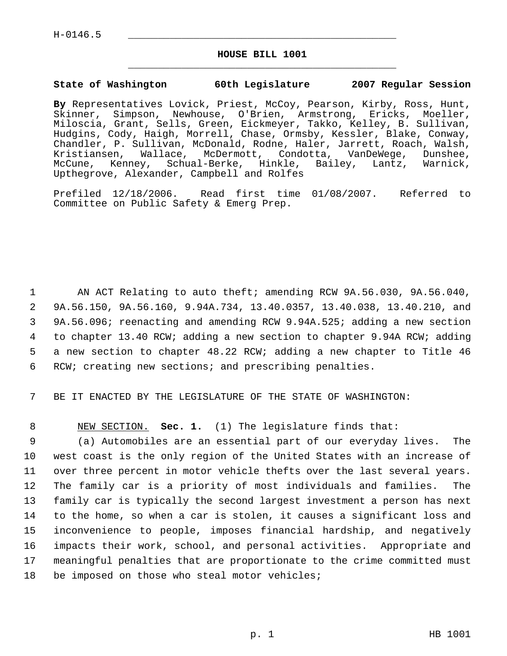H-0146.5 \_\_\_\_\_\_\_\_\_\_\_\_\_\_\_\_\_\_\_\_\_\_\_\_\_\_\_\_\_\_\_\_\_\_\_\_\_\_\_\_\_\_\_\_\_

#### **HOUSE BILL 1001** \_\_\_\_\_\_\_\_\_\_\_\_\_\_\_\_\_\_\_\_\_\_\_\_\_\_\_\_\_\_\_\_\_\_\_\_\_\_\_\_\_\_\_\_\_

#### **State of Washington 60th Legislature 2007 Regular Session**

**By** Representatives Lovick, Priest, McCoy, Pearson, Kirby, Ross, Hunt, Skinner, Simpson, Newhouse, O'Brien, Armstrong, Ericks, Moeller, Miloscia, Grant, Sells, Green, Eickmeyer, Takko, Kelley, B. Sullivan, Hudgins, Cody, Haigh, Morrell, Chase, Ormsby, Kessler, Blake, Conway, Chandler, P. Sullivan, McDonald, Rodne, Haler, Jarrett, Roach, Walsh, Kristiansen, Wallace, McDermott, Condotta, VanDeWege, Dunshee, McCune, Kenney, Schual-Berke, Hinkle, Bailey, Lantz, Warnick, Upthegrove, Alexander, Campbell and Rolfes

Prefiled 12/18/2006. Read first time 01/08/2007. Referred to Committee on Public Safety & Emerg Prep.

 AN ACT Relating to auto theft; amending RCW 9A.56.030, 9A.56.040, 9A.56.150, 9A.56.160, 9.94A.734, 13.40.0357, 13.40.038, 13.40.210, and 9A.56.096; reenacting and amending RCW 9.94A.525; adding a new section to chapter 13.40 RCW; adding a new section to chapter 9.94A RCW; adding a new section to chapter 48.22 RCW; adding a new chapter to Title 46 RCW; creating new sections; and prescribing penalties.

7 BE IT ENACTED BY THE LEGISLATURE OF THE STATE OF WASHINGTON:

8 NEW SECTION. **Sec. 1.** (1) The legislature finds that:

 (a) Automobiles are an essential part of our everyday lives. The west coast is the only region of the United States with an increase of over three percent in motor vehicle thefts over the last several years. The family car is a priority of most individuals and families. The family car is typically the second largest investment a person has next to the home, so when a car is stolen, it causes a significant loss and inconvenience to people, imposes financial hardship, and negatively impacts their work, school, and personal activities. Appropriate and meaningful penalties that are proportionate to the crime committed must 18 be imposed on those who steal motor vehicles;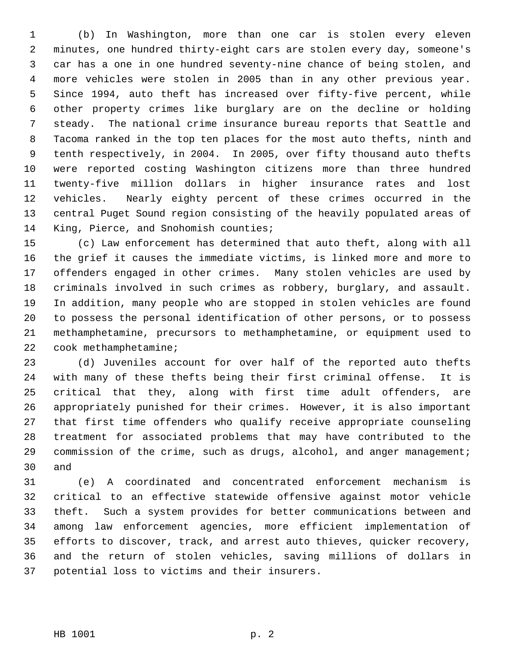(b) In Washington, more than one car is stolen every eleven minutes, one hundred thirty-eight cars are stolen every day, someone's car has a one in one hundred seventy-nine chance of being stolen, and more vehicles were stolen in 2005 than in any other previous year. Since 1994, auto theft has increased over fifty-five percent, while other property crimes like burglary are on the decline or holding steady. The national crime insurance bureau reports that Seattle and Tacoma ranked in the top ten places for the most auto thefts, ninth and tenth respectively, in 2004. In 2005, over fifty thousand auto thefts were reported costing Washington citizens more than three hundred twenty-five million dollars in higher insurance rates and lost vehicles. Nearly eighty percent of these crimes occurred in the central Puget Sound region consisting of the heavily populated areas of King, Pierce, and Snohomish counties;

 (c) Law enforcement has determined that auto theft, along with all the grief it causes the immediate victims, is linked more and more to offenders engaged in other crimes. Many stolen vehicles are used by criminals involved in such crimes as robbery, burglary, and assault. In addition, many people who are stopped in stolen vehicles are found to possess the personal identification of other persons, or to possess methamphetamine, precursors to methamphetamine, or equipment used to cook methamphetamine;

 (d) Juveniles account for over half of the reported auto thefts with many of these thefts being their first criminal offense. It is critical that they, along with first time adult offenders, are appropriately punished for their crimes. However, it is also important that first time offenders who qualify receive appropriate counseling treatment for associated problems that may have contributed to the 29 commission of the crime, such as drugs, alcohol, and anger management; and

 (e) A coordinated and concentrated enforcement mechanism is critical to an effective statewide offensive against motor vehicle theft. Such a system provides for better communications between and among law enforcement agencies, more efficient implementation of efforts to discover, track, and arrest auto thieves, quicker recovery, and the return of stolen vehicles, saving millions of dollars in potential loss to victims and their insurers.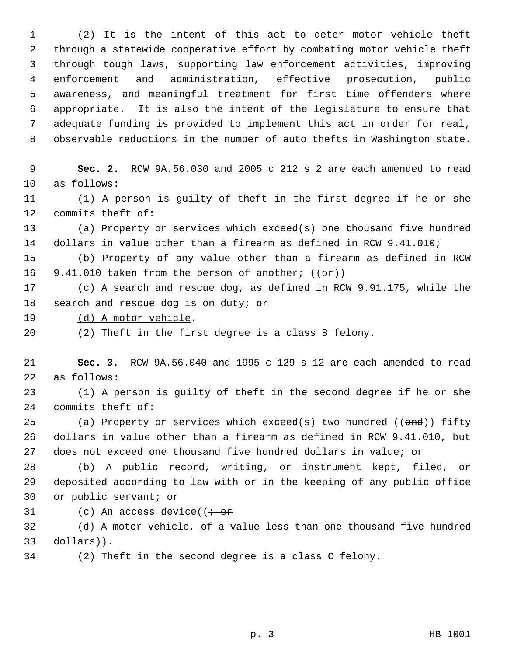(2) It is the intent of this act to deter motor vehicle theft through a statewide cooperative effort by combating motor vehicle theft through tough laws, supporting law enforcement activities, improving enforcement and administration, effective prosecution, public awareness, and meaningful treatment for first time offenders where appropriate. It is also the intent of the legislature to ensure that adequate funding is provided to implement this act in order for real, observable reductions in the number of auto thefts in Washington state.

 **Sec. 2.** RCW 9A.56.030 and 2005 c 212 s 2 are each amended to read as follows:

 (1) A person is guilty of theft in the first degree if he or she commits theft of:

 (a) Property or services which exceed(s) one thousand five hundred dollars in value other than a firearm as defined in RCW 9.41.010;

 (b) Property of any value other than a firearm as defined in RCW 16 9.41.010 taken from the person of another;  $((\theta \cdot \mathbf{r}))$ 

 (c) A search and rescue dog, as defined in RCW 9.91.175, while the 18 search and rescue dog is on duty; or

19 (d) A motor vehicle.

(2) Theft in the first degree is a class B felony.

 **Sec. 3.** RCW 9A.56.040 and 1995 c 129 s 12 are each amended to read as follows:

 (1) A person is guilty of theft in the second degree if he or she commits theft of:

25 (a) Property or services which exceed(s) two hundred  $((and))$  fifty dollars in value other than a firearm as defined in RCW 9.41.010, but does not exceed one thousand five hundred dollars in value; or

 (b) A public record, writing, or instrument kept, filed, or deposited according to law with or in the keeping of any public office or public servant; or

31 (c) An access device( $\overline{t}$  or

 (d) A motor vehicle, of a value less than one thousand five hundred dollars)).

(2) Theft in the second degree is a class C felony.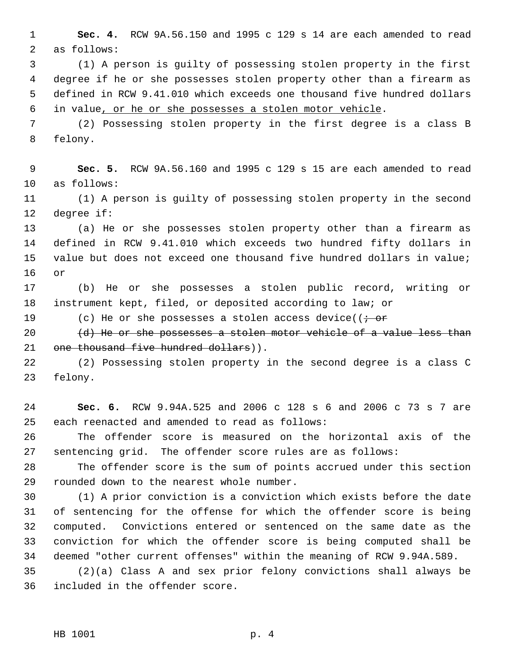**Sec. 4.** RCW 9A.56.150 and 1995 c 129 s 14 are each amended to read as follows:

 (1) A person is guilty of possessing stolen property in the first degree if he or she possesses stolen property other than a firearm as defined in RCW 9.41.010 which exceeds one thousand five hundred dollars in value, or he or she possesses a stolen motor vehicle.

 (2) Possessing stolen property in the first degree is a class B felony.

 **Sec. 5.** RCW 9A.56.160 and 1995 c 129 s 15 are each amended to read as follows:

 (1) A person is guilty of possessing stolen property in the second degree if:

 (a) He or she possesses stolen property other than a firearm as defined in RCW 9.41.010 which exceeds two hundred fifty dollars in value but does not exceed one thousand five hundred dollars in value; or

 (b) He or she possesses a stolen public record, writing or instrument kept, filed, or deposited according to law; or

19 (c) He or she possesses a stolen access device(( $\dot{r}$  or

 $(d)$  He or she possesses a stolen motor vehicle of a value less than 21 one thousand five hundred dollars)).

 (2) Possessing stolen property in the second degree is a class C felony.

 **Sec. 6.** RCW 9.94A.525 and 2006 c 128 s 6 and 2006 c 73 s 7 are each reenacted and amended to read as follows:

 The offender score is measured on the horizontal axis of the sentencing grid. The offender score rules are as follows:

 The offender score is the sum of points accrued under this section rounded down to the nearest whole number.

 (1) A prior conviction is a conviction which exists before the date of sentencing for the offense for which the offender score is being computed. Convictions entered or sentenced on the same date as the conviction for which the offender score is being computed shall be deemed "other current offenses" within the meaning of RCW 9.94A.589.

 (2)(a) Class A and sex prior felony convictions shall always be included in the offender score.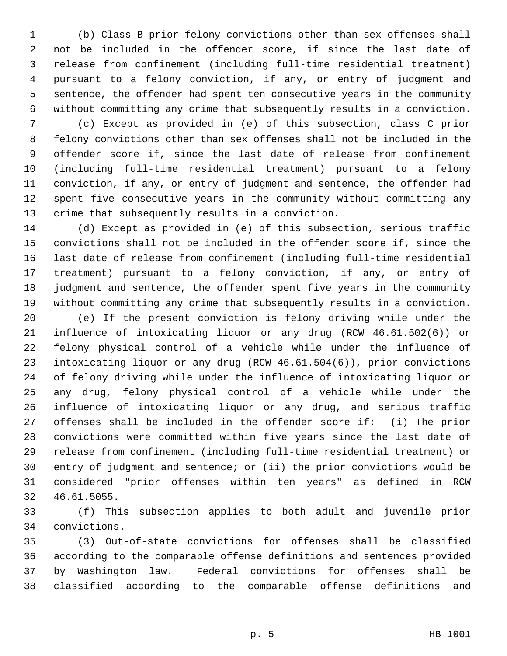(b) Class B prior felony convictions other than sex offenses shall not be included in the offender score, if since the last date of release from confinement (including full-time residential treatment) pursuant to a felony conviction, if any, or entry of judgment and sentence, the offender had spent ten consecutive years in the community without committing any crime that subsequently results in a conviction.

 (c) Except as provided in (e) of this subsection, class C prior felony convictions other than sex offenses shall not be included in the offender score if, since the last date of release from confinement (including full-time residential treatment) pursuant to a felony conviction, if any, or entry of judgment and sentence, the offender had spent five consecutive years in the community without committing any crime that subsequently results in a conviction.

 (d) Except as provided in (e) of this subsection, serious traffic convictions shall not be included in the offender score if, since the last date of release from confinement (including full-time residential treatment) pursuant to a felony conviction, if any, or entry of judgment and sentence, the offender spent five years in the community without committing any crime that subsequently results in a conviction.

 (e) If the present conviction is felony driving while under the influence of intoxicating liquor or any drug (RCW 46.61.502(6)) or felony physical control of a vehicle while under the influence of intoxicating liquor or any drug (RCW 46.61.504(6)), prior convictions of felony driving while under the influence of intoxicating liquor or any drug, felony physical control of a vehicle while under the influence of intoxicating liquor or any drug, and serious traffic offenses shall be included in the offender score if: (i) The prior convictions were committed within five years since the last date of release from confinement (including full-time residential treatment) or entry of judgment and sentence; or (ii) the prior convictions would be considered "prior offenses within ten years" as defined in RCW 46.61.5055.

 (f) This subsection applies to both adult and juvenile prior convictions.

 (3) Out-of-state convictions for offenses shall be classified according to the comparable offense definitions and sentences provided by Washington law. Federal convictions for offenses shall be classified according to the comparable offense definitions and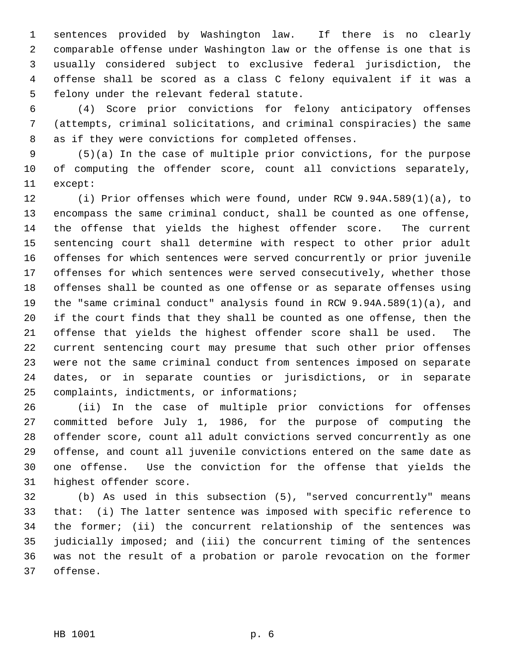sentences provided by Washington law. If there is no clearly comparable offense under Washington law or the offense is one that is usually considered subject to exclusive federal jurisdiction, the offense shall be scored as a class C felony equivalent if it was a felony under the relevant federal statute.

 (4) Score prior convictions for felony anticipatory offenses (attempts, criminal solicitations, and criminal conspiracies) the same as if they were convictions for completed offenses.

 (5)(a) In the case of multiple prior convictions, for the purpose of computing the offender score, count all convictions separately, except:

 (i) Prior offenses which were found, under RCW 9.94A.589(1)(a), to encompass the same criminal conduct, shall be counted as one offense, the offense that yields the highest offender score. The current sentencing court shall determine with respect to other prior adult offenses for which sentences were served concurrently or prior juvenile offenses for which sentences were served consecutively, whether those offenses shall be counted as one offense or as separate offenses using the "same criminal conduct" analysis found in RCW 9.94A.589(1)(a), and if the court finds that they shall be counted as one offense, then the offense that yields the highest offender score shall be used. The current sentencing court may presume that such other prior offenses were not the same criminal conduct from sentences imposed on separate dates, or in separate counties or jurisdictions, or in separate complaints, indictments, or informations;

 (ii) In the case of multiple prior convictions for offenses committed before July 1, 1986, for the purpose of computing the offender score, count all adult convictions served concurrently as one offense, and count all juvenile convictions entered on the same date as one offense. Use the conviction for the offense that yields the highest offender score.

 (b) As used in this subsection (5), "served concurrently" means that: (i) The latter sentence was imposed with specific reference to the former; (ii) the concurrent relationship of the sentences was judicially imposed; and (iii) the concurrent timing of the sentences was not the result of a probation or parole revocation on the former offense.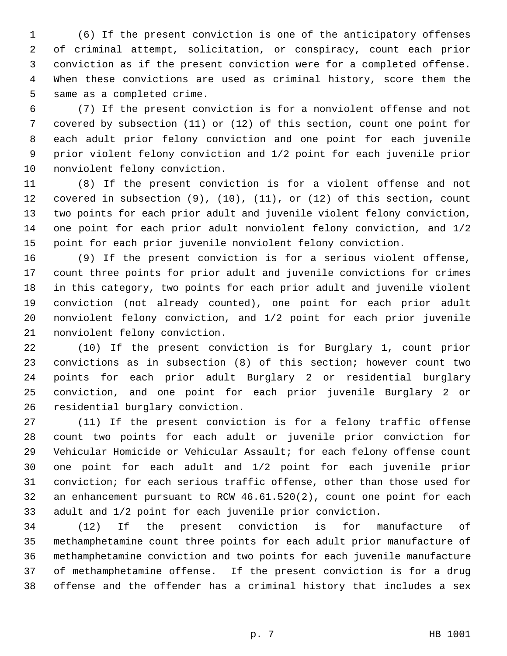(6) If the present conviction is one of the anticipatory offenses of criminal attempt, solicitation, or conspiracy, count each prior conviction as if the present conviction were for a completed offense. When these convictions are used as criminal history, score them the same as a completed crime.

 (7) If the present conviction is for a nonviolent offense and not covered by subsection (11) or (12) of this section, count one point for each adult prior felony conviction and one point for each juvenile prior violent felony conviction and 1/2 point for each juvenile prior nonviolent felony conviction.

 (8) If the present conviction is for a violent offense and not covered in subsection (9), (10), (11), or (12) of this section, count two points for each prior adult and juvenile violent felony conviction, one point for each prior adult nonviolent felony conviction, and 1/2 point for each prior juvenile nonviolent felony conviction.

 (9) If the present conviction is for a serious violent offense, count three points for prior adult and juvenile convictions for crimes in this category, two points for each prior adult and juvenile violent conviction (not already counted), one point for each prior adult nonviolent felony conviction, and 1/2 point for each prior juvenile nonviolent felony conviction.

 (10) If the present conviction is for Burglary 1, count prior convictions as in subsection (8) of this section; however count two points for each prior adult Burglary 2 or residential burglary conviction, and one point for each prior juvenile Burglary 2 or residential burglary conviction.

 (11) If the present conviction is for a felony traffic offense count two points for each adult or juvenile prior conviction for Vehicular Homicide or Vehicular Assault; for each felony offense count one point for each adult and 1/2 point for each juvenile prior conviction; for each serious traffic offense, other than those used for an enhancement pursuant to RCW 46.61.520(2), count one point for each adult and 1/2 point for each juvenile prior conviction.

 (12) If the present conviction is for manufacture of methamphetamine count three points for each adult prior manufacture of methamphetamine conviction and two points for each juvenile manufacture of methamphetamine offense. If the present conviction is for a drug offense and the offender has a criminal history that includes a sex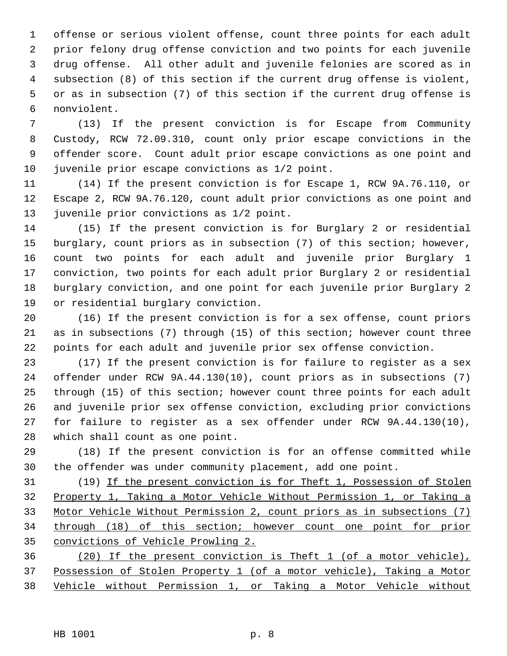offense or serious violent offense, count three points for each adult prior felony drug offense conviction and two points for each juvenile drug offense. All other adult and juvenile felonies are scored as in subsection (8) of this section if the current drug offense is violent, or as in subsection (7) of this section if the current drug offense is nonviolent.

 (13) If the present conviction is for Escape from Community Custody, RCW 72.09.310, count only prior escape convictions in the offender score. Count adult prior escape convictions as one point and juvenile prior escape convictions as 1/2 point.

 (14) If the present conviction is for Escape 1, RCW 9A.76.110, or Escape 2, RCW 9A.76.120, count adult prior convictions as one point and juvenile prior convictions as 1/2 point.

 (15) If the present conviction is for Burglary 2 or residential burglary, count priors as in subsection (7) of this section; however, count two points for each adult and juvenile prior Burglary 1 conviction, two points for each adult prior Burglary 2 or residential burglary conviction, and one point for each juvenile prior Burglary 2 or residential burglary conviction.

 (16) If the present conviction is for a sex offense, count priors as in subsections (7) through (15) of this section; however count three points for each adult and juvenile prior sex offense conviction.

 (17) If the present conviction is for failure to register as a sex offender under RCW 9A.44.130(10), count priors as in subsections (7) through (15) of this section; however count three points for each adult and juvenile prior sex offense conviction, excluding prior convictions for failure to register as a sex offender under RCW 9A.44.130(10), which shall count as one point.

 (18) If the present conviction is for an offense committed while the offender was under community placement, add one point.

 (19) If the present conviction is for Theft 1, Possession of Stolen Property 1, Taking a Motor Vehicle Without Permission 1, or Taking a Motor Vehicle Without Permission 2, count priors as in subsections (7) through (18) of this section; however count one point for prior convictions of Vehicle Prowling 2.

 (20) If the present conviction is Theft 1 (of a motor vehicle), Possession of Stolen Property 1 (of a motor vehicle), Taking a Motor Vehicle without Permission 1, or Taking a Motor Vehicle without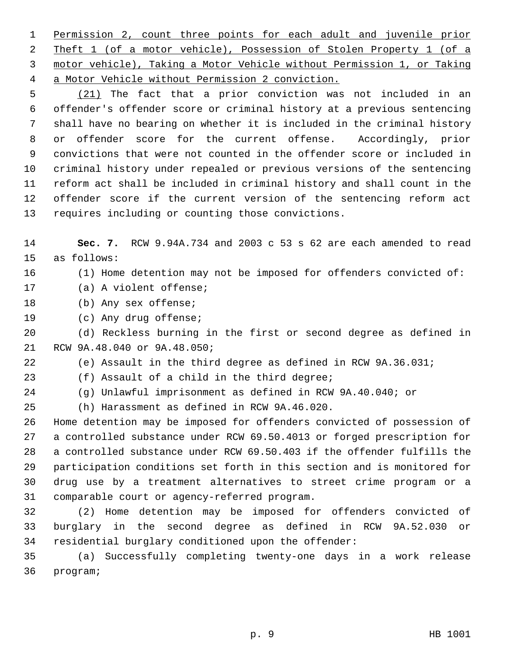Permission 2, count three points for each adult and juvenile prior Theft 1 (of a motor vehicle), Possession of Stolen Property 1 (of a motor vehicle), Taking a Motor Vehicle without Permission 1, or Taking a Motor Vehicle without Permission 2 conviction.

 (21) The fact that a prior conviction was not included in an offender's offender score or criminal history at a previous sentencing shall have no bearing on whether it is included in the criminal history or offender score for the current offense. Accordingly, prior convictions that were not counted in the offender score or included in criminal history under repealed or previous versions of the sentencing reform act shall be included in criminal history and shall count in the offender score if the current version of the sentencing reform act requires including or counting those convictions.

 **Sec. 7.** RCW 9.94A.734 and 2003 c 53 s 62 are each amended to read as follows:

#### (1) Home detention may not be imposed for offenders convicted of:

(a) A violent offense;

(b) Any sex offense;

(c) Any drug offense;

 (d) Reckless burning in the first or second degree as defined in RCW 9A.48.040 or 9A.48.050;

(e) Assault in the third degree as defined in RCW 9A.36.031;

(f) Assault of a child in the third degree;

(g) Unlawful imprisonment as defined in RCW 9A.40.040; or

(h) Harassment as defined in RCW 9A.46.020.

 Home detention may be imposed for offenders convicted of possession of a controlled substance under RCW 69.50.4013 or forged prescription for a controlled substance under RCW 69.50.403 if the offender fulfills the participation conditions set forth in this section and is monitored for drug use by a treatment alternatives to street crime program or a comparable court or agency-referred program.

 (2) Home detention may be imposed for offenders convicted of burglary in the second degree as defined in RCW 9A.52.030 or residential burglary conditioned upon the offender:

 (a) Successfully completing twenty-one days in a work release program;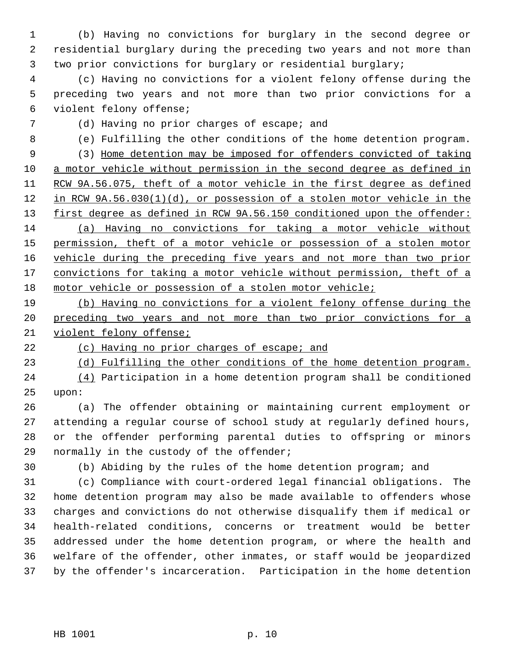(b) Having no convictions for burglary in the second degree or residential burglary during the preceding two years and not more than two prior convictions for burglary or residential burglary;

 (c) Having no convictions for a violent felony offense during the preceding two years and not more than two prior convictions for a violent felony offense;

## (d) Having no prior charges of escape; and

(e) Fulfilling the other conditions of the home detention program.

 (3) Home detention may be imposed for offenders convicted of taking a motor vehicle without permission in the second degree as defined in RCW 9A.56.075, theft of a motor vehicle in the first degree as defined in RCW 9A.56.030(1)(d), or possession of a stolen motor vehicle in the 13 first degree as defined in RCW 9A.56.150 conditioned upon the offender: (a) Having no convictions for taking a motor vehicle without permission, theft of a motor vehicle or possession of a stolen motor vehicle during the preceding five years and not more than two prior 17 convictions for taking a motor vehicle without permission, theft of a motor vehicle or possession of a stolen motor vehicle;

 (b) Having no convictions for a violent felony offense during the 20 preceding two years and not more than two prior convictions for a violent felony offense;

(c) Having no prior charges of escape; and

(d) Fulfilling the other conditions of the home detention program.

 (4) Participation in a home detention program shall be conditioned upon:

 (a) The offender obtaining or maintaining current employment or attending a regular course of school study at regularly defined hours, or the offender performing parental duties to offspring or minors 29 normally in the custody of the offender;

(b) Abiding by the rules of the home detention program; and

 (c) Compliance with court-ordered legal financial obligations. The home detention program may also be made available to offenders whose charges and convictions do not otherwise disqualify them if medical or health-related conditions, concerns or treatment would be better addressed under the home detention program, or where the health and welfare of the offender, other inmates, or staff would be jeopardized by the offender's incarceration. Participation in the home detention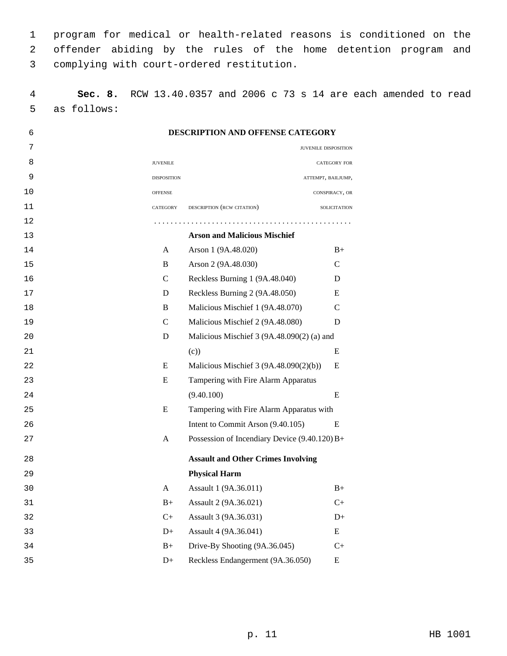program for medical or health-related reasons is conditioned on the offender abiding by the rules of the home detention program and complying with court-ordered restitution.

 **Sec. 8.** RCW 13.40.0357 and 2006 c 73 s 14 are each amended to read as follows:

| 6  |                    | <b>DESCRIPTION AND OFFENSE CATEGORY</b>         |                      |
|----|--------------------|-------------------------------------------------|----------------------|
| 7  |                    |                                                 | JUVENILE DISPOSITION |
| 8  | <b>JUVENILE</b>    |                                                 | <b>CATEGORY FOR</b>  |
| 9  | <b>DISPOSITION</b> |                                                 | ATTEMPT, BAILJUMP,   |
| 10 | <b>OFFENSE</b>     |                                                 | CONSPIRACY, OR       |
| 11 | CATEGORY           | DESCRIPTION (RCW CITATION)                      | SOLICITATION         |
| 12 |                    |                                                 |                      |
| 13 |                    | <b>Arson and Malicious Mischief</b>             |                      |
| 14 | A                  | Arson 1 (9A.48.020)                             | $B+$                 |
| 15 | B                  | Arson 2 (9A.48.030)                             | $\mathcal{C}$        |
| 16 | $\mathcal{C}$      | Reckless Burning 1 (9A.48.040)                  | D                    |
| 17 | D                  | Reckless Burning 2 (9A.48.050)                  | E                    |
| 18 | B                  | Malicious Mischief 1 (9A.48.070)                | $\mathcal{C}$        |
| 19 | $\mathcal{C}$      | Malicious Mischief 2 (9A.48.080)                | D                    |
| 20 | D                  | Malicious Mischief 3 (9A.48.090(2) (a) and      |                      |
| 21 |                    | (c)                                             | E                    |
| 22 | E                  | Malicious Mischief 3 (9A.48.090(2)(b))          | E                    |
| 23 | E                  | Tampering with Fire Alarm Apparatus             |                      |
| 24 |                    | (9.40.100)                                      | E                    |
| 25 | E                  | Tampering with Fire Alarm Apparatus with        |                      |
| 26 |                    | Intent to Commit Arson (9.40.105)               | E                    |
| 27 | A                  | Possession of Incendiary Device $(9.40.120) B+$ |                      |
| 28 |                    | <b>Assault and Other Crimes Involving</b>       |                      |
| 29 |                    | <b>Physical Harm</b>                            |                      |
| 30 | A                  | Assault 1 (9A.36.011)                           | $B+$                 |
| 31 | $B+$               | Assault 2 (9A.36.021)                           | $C+$                 |
| 32 | $C+$               | Assault 3 (9A.36.031)                           | $D+$                 |
| 33 | $D+$               | Assault 4 (9A.36.041)                           | E                    |
| 34 | $B+$               | Drive-By Shooting (9A.36.045)                   | $C+$                 |
| 35 | $D+$               | Reckless Endangerment (9A.36.050)               | E                    |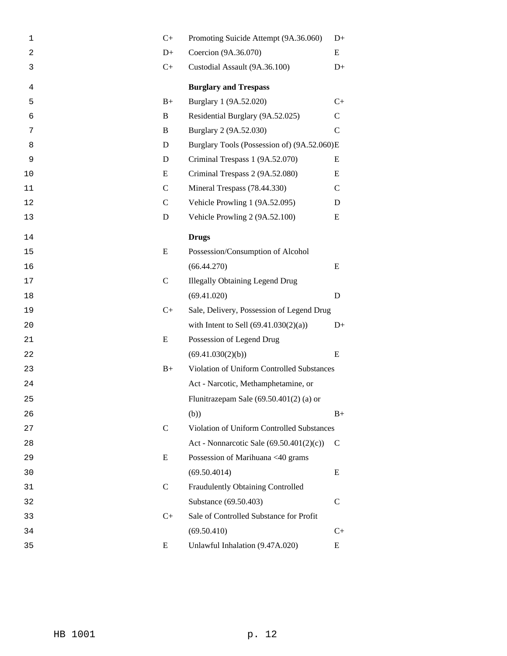| 1  | $C+$          | Promoting Suicide Attempt (9A.36.060)       | $D+$         |
|----|---------------|---------------------------------------------|--------------|
| 2  | $D+$          | Coercion (9A.36.070)                        | E            |
| 3  | $C+$          | Custodial Assault (9A.36.100)               | $D+$         |
| 4  |               | <b>Burglary and Trespass</b>                |              |
| 5  | $B+$          | Burglary 1 (9A.52.020)                      | $C+$         |
| 6  | B             | Residential Burglary (9A.52.025)            | $\mathbf C$  |
| 7  | B             | Burglary 2 (9A.52.030)                      | $\mathbf C$  |
| 8  | D             | Burglary Tools (Possession of) (9A.52.060)E |              |
| 9  | D             | Criminal Trespass 1 (9A.52.070)             | E            |
| 10 | E             | Criminal Trespass 2 (9A.52.080)             | E            |
| 11 | $\mathsf{C}$  | Mineral Trespass (78.44.330)                | $\mathsf{C}$ |
| 12 | $\mathsf{C}$  | Vehicle Prowling 1 (9A.52.095)              | D            |
| 13 | D             | Vehicle Prowling 2 (9A.52.100)              | E            |
| 14 |               | <b>Drugs</b>                                |              |
| 15 | E             | Possession/Consumption of Alcohol           |              |
| 16 |               | (66.44.270)                                 | E            |
| 17 | $\mathsf{C}$  | <b>Illegally Obtaining Legend Drug</b>      |              |
| 18 |               | (69.41.020)                                 | D            |
| 19 | $C+$          | Sale, Delivery, Possession of Legend Drug   |              |
| 20 |               | with Intent to Sell $(69.41.030(2)(a))$     | $D+$         |
| 21 | E             | Possession of Legend Drug                   |              |
| 22 |               | (69.41.030(2)(b))                           | E            |
| 23 | $B+$          | Violation of Uniform Controlled Substances  |              |
| 24 |               | Act - Narcotic, Methamphetamine, or         |              |
| 25 |               | Flunitrazepam Sale $(69.50.401(2)$ (a) or   |              |
| 26 |               | (b))                                        | $B+$         |
| 27 | $\mathcal{C}$ | Violation of Uniform Controlled Substances  |              |
| 28 |               | Act - Nonnarcotic Sale $(69.50.401(2)(c))$  | C            |
| 29 | E             | Possession of Marihuana <40 grams           |              |
| 30 |               | (69.50.4014)                                | Ε            |
| 31 | $\mathsf{C}$  | Fraudulently Obtaining Controlled           |              |
| 32 |               | Substance (69.50.403)                       | C            |
| 33 | $C+$          | Sale of Controlled Substance for Profit     |              |
| 34 |               | (69.50.410)                                 | $C+$         |
| 35 | E             | Unlawful Inhalation (9.47A.020)             | E            |
|    |               |                                             |              |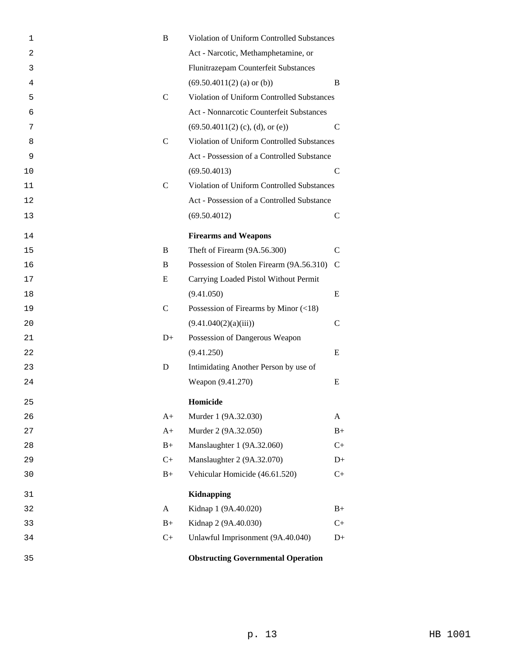| 1  | B             | Violation of Uniform Controlled Substances  |               |  |
|----|---------------|---------------------------------------------|---------------|--|
| 2  |               | Act - Narcotic, Methamphetamine, or         |               |  |
| 3  |               | Flunitrazepam Counterfeit Substances        |               |  |
| 4  |               | $(69.50.4011(2)$ (a) or (b))                | B             |  |
| 5  | $\mathsf{C}$  | Violation of Uniform Controlled Substances  |               |  |
| 6  |               | Act - Nonnarcotic Counterfeit Substances    |               |  |
| 7  |               | $(69.50.4011(2)$ (c), (d), or (e))          | $\mathcal{C}$ |  |
| 8  | $\mathsf{C}$  | Violation of Uniform Controlled Substances  |               |  |
| 9  |               | Act - Possession of a Controlled Substance  |               |  |
| 10 |               | (69.50.4013)                                | $\mathsf{C}$  |  |
| 11 | $\mathcal{C}$ | Violation of Uniform Controlled Substances  |               |  |
| 12 |               | Act - Possession of a Controlled Substance  |               |  |
| 13 |               | (69.50.4012)                                | $\mathsf{C}$  |  |
| 14 |               | <b>Firearms and Weapons</b>                 |               |  |
| 15 | B             | Theft of Firearm (9A.56.300)                | $\mathcal{C}$ |  |
| 16 | B             | Possession of Stolen Firearm (9A.56.310)    | $\mathcal{C}$ |  |
| 17 | E             | Carrying Loaded Pistol Without Permit       |               |  |
| 18 |               | (9.41.050)                                  | E             |  |
| 19 | $\mathcal{C}$ | Possession of Firearms by Minor $(\leq 18)$ |               |  |
| 20 |               | (9.41.040(2)(a)(iii))                       | $\mathcal{C}$ |  |
| 21 | $D+$          | Possession of Dangerous Weapon              |               |  |
| 22 |               | (9.41.250)                                  | E             |  |
| 23 | D             | Intimidating Another Person by use of       |               |  |
| 24 |               | Weapon (9.41.270)                           | E             |  |
| 25 |               | Homicide                                    |               |  |
| 26 | $A+$          | Murder 1 (9A.32.030)                        | A             |  |
| 27 | $A+$          | Murder 2 (9A.32.050)                        | $B+$          |  |
| 28 | $B+$          | Manslaughter 1 (9A.32.060)                  | $C+$          |  |
| 29 | $C+$          | Manslaughter 2 (9A.32.070)                  | $D+$          |  |
| 30 | $B+$          | Vehicular Homicide (46.61.520)              | $C+$          |  |
| 31 |               | Kidnapping                                  |               |  |
| 32 | $\mathbf{A}$  | Kidnap 1 (9A.40.020)                        | $B+$          |  |
| 33 | $B+$          | Kidnap 2 (9A.40.030)                        | $C+$          |  |
| 34 | $C+$          | Unlawful Imprisonment (9A.40.040)           | $D+$          |  |
| 35 |               | <b>Obstructing Governmental Operation</b>   |               |  |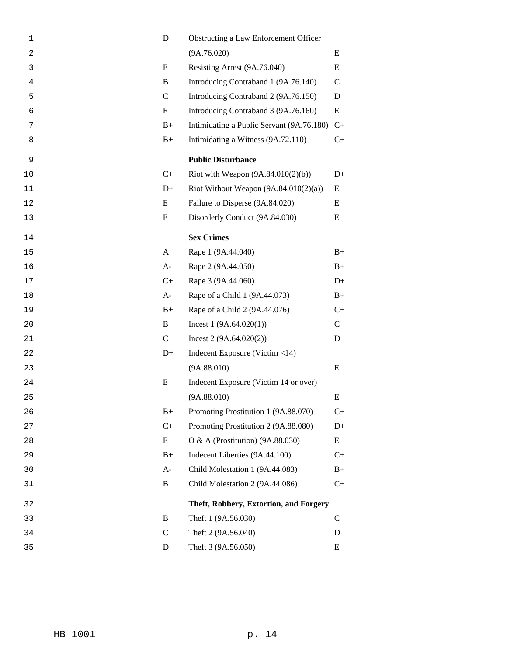| 1              | D             | Obstructing a Law Enforcement Officer     |               |
|----------------|---------------|-------------------------------------------|---------------|
| $\overline{c}$ |               | (9A.76.020)                               | E             |
| 3              | E             | Resisting Arrest (9A.76.040)              | E             |
| $\overline{4}$ | B             | Introducing Contraband 1 (9A.76.140)      | $\mathcal{C}$ |
| 5              | $\mathcal{C}$ | Introducing Contraband 2 (9A.76.150)      | D             |
| 6              | E             | Introducing Contraband 3 (9A.76.160)      | E             |
| 7              | $B+$          | Intimidating a Public Servant (9A.76.180) | $C+$          |
| 8              | $B+$          | Intimidating a Witness (9A.72.110)        | $C_{+}$       |
| 9              |               | <b>Public Disturbance</b>                 |               |
| 10             | $C+$          | Riot with Weapon $(9A.84.010(2)(b))$      | $D+$          |
| 11             | $D+$          | Riot Without Weapon $(9A.84.010(2)(a))$   | Ε             |
| 12             | E             | Failure to Disperse (9A.84.020)           | E             |
| 13             | Ε             | Disorderly Conduct (9A.84.030)            | Ε             |
| 14             |               | <b>Sex Crimes</b>                         |               |
| 15             | A             | Rape 1 (9A.44.040)                        | $B+$          |
| 16             | $A-$          | Rape 2 (9A.44.050)                        | $B+$          |
| 17             | $C+$          | Rape 3 (9A.44.060)                        | $D+$          |
| 18             | $A-$          | Rape of a Child 1 (9A.44.073)             | $B+$          |
| 19             | $B+$          | Rape of a Child 2 (9A.44.076)             | $C+$          |
| 20             | B             | Incest $1(9A.64.020(1))$                  | $\mathbf C$   |
| 21             | $\mathbf C$   | Incest $2(9A.64.020(2))$                  | D             |
| 22             | $D+$          | Indecent Exposure (Victim <14)            |               |
| 23             |               | (9A.88.010)                               | E             |
| 24             | E             | Indecent Exposure (Victim 14 or over)     |               |
| 25             |               | (9A.88.010)                               | E             |
| 26             | $B+$          | Promoting Prostitution 1 (9A.88.070)      | $C+$          |
| 27             | $C+$          | Promoting Prostitution 2 (9A.88.080)      | $D+$          |
| 28             | E             | O & A (Prostitution) $(9A.88.030)$        | E             |
| 29             | $B+$          | Indecent Liberties (9A.44.100)            | $C+$          |
| 30             | $A-$          | Child Molestation 1 (9A.44.083)           | $B+$          |
| 31             | B             | Child Molestation 2 (9A.44.086)           | $C+$          |
| 32             |               | Theft, Robbery, Extortion, and Forgery    |               |
| 33             | B             | Theft 1 (9A.56.030)                       | C             |
| 34             | $\mathsf{C}$  | Theft 2 (9A.56.040)                       | D             |
| 35             | D             | Theft 3 (9A.56.050)                       | E             |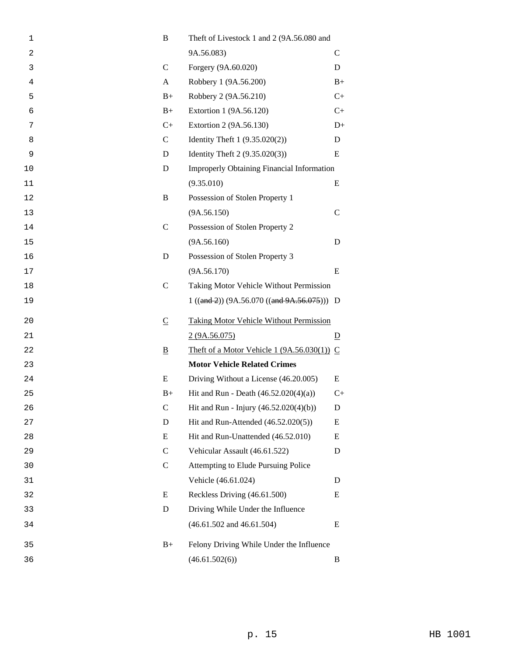| 1  | B                        | Theft of Livestock 1 and 2 (9A.56.080 and         |                |
|----|--------------------------|---------------------------------------------------|----------------|
| 2  |                          | 9A.56.083)                                        | $\mathcal{C}$  |
| 3  | $\mathsf{C}$             | Forgery (9A.60.020)                               | D              |
| 4  | A                        | Robbery 1 (9A.56.200)                             | $B+$           |
| 5  | $B+$                     | Robbery 2 (9A.56.210)                             | $C+$           |
| 6  | $B+$                     | Extortion 1 (9A.56.120)                           | $C+$           |
| 7  | $C+$                     | Extortion 2 (9A.56.130)                           | $D+$           |
| 8  | $\mathsf{C}$             | Identity Theft $1 (9.35.020(2))$                  | D              |
| 9  | D                        | Identity Theft 2 (9.35.020(3))                    | E              |
| 10 | D                        | <b>Improperly Obtaining Financial Information</b> |                |
| 11 |                          | (9.35.010)                                        | E              |
| 12 | B                        | Possession of Stolen Property 1                   |                |
| 13 |                          | (9A.56.150)                                       | $\mathsf{C}$   |
| 14 | $\mathcal{C}$            | Possession of Stolen Property 2                   |                |
| 15 |                          | (9A.56.160)                                       | D              |
| 16 | D                        | Possession of Stolen Property 3                   |                |
| 17 |                          | (9A.56.170)                                       | E              |
| 18 | $\mathsf{C}$             | Taking Motor Vehicle Without Permission           |                |
| 19 |                          | $1 ((and 2)) (9A.56.070 ((and 9A.56.075))) D$     |                |
| 20 | $\underline{\mathsf{C}}$ | <b>Taking Motor Vehicle Without Permission</b>    |                |
| 21 |                          | 2(9A.56.075)                                      | $\overline{D}$ |
| 22 | $\underline{\mathbf{B}}$ | Theft of a Motor Vehicle 1 $(9A.56.030(1))$ C     |                |
| 23 |                          | <b>Motor Vehicle Related Crimes</b>               |                |
| 24 | E                        | Driving Without a License (46.20.005)             | E              |
| 25 | $B+$                     | Hit and Run - Death $(46.52.020(4)(a))$           | $C_{+}$        |
| 26 | $\mathsf{C}$             | Hit and Run - Injury (46.52.020(4)(b))            | D              |
| 27 | D                        | Hit and Run-Attended (46.52.020(5))               | E              |
| 28 | Ε                        | Hit and Run-Unattended (46.52.010)                | E              |
| 29 | $\mathsf{C}$             | Vehicular Assault (46.61.522)                     | D              |
| 30 | $\mathsf{C}$             | Attempting to Elude Pursuing Police               |                |
| 31 |                          | Vehicle (46.61.024)                               | D              |
| 32 | E                        | Reckless Driving (46.61.500)                      | E              |
| 33 | D                        | Driving While Under the Influence                 |                |
| 34 |                          | $(46.61.502$ and $46.61.504)$                     | E              |
| 35 | $B+$                     | Felony Driving While Under the Influence          |                |
| 36 |                          | (46.61.502(6))                                    | B              |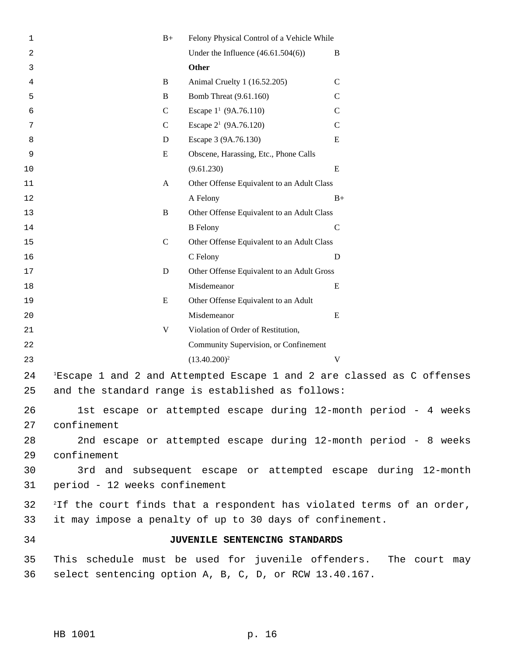| 1  |                               | $B+$          | Felony Physical Control of a Vehicle While                                         |               |
|----|-------------------------------|---------------|------------------------------------------------------------------------------------|---------------|
| 2  |                               |               | Under the Influence $(46.61.504(6))$                                               | B             |
| 3  |                               |               | <b>Other</b>                                                                       |               |
| 4  |                               | B             | Animal Cruelty 1 (16.52.205)                                                       | $\mathsf{C}$  |
| 5  |                               | B             | Bomb Threat (9.61.160)                                                             | $\mathsf{C}$  |
| 6  |                               | $\mathcal{C}$ | Escape $1^1$ (9A.76.110)                                                           | $\mathcal{C}$ |
| 7  |                               | $\mathcal{C}$ | Escape $2^1$ (9A.76.120)                                                           | $\mathsf{C}$  |
| 8  |                               | D             | Escape 3 (9A.76.130)                                                               | E             |
| 9  |                               | E             | Obscene, Harassing, Etc., Phone Calls                                              |               |
| 10 |                               |               | (9.61.230)                                                                         | E             |
| 11 |                               | $\mathbf{A}$  | Other Offense Equivalent to an Adult Class                                         |               |
| 12 |                               |               | A Felony                                                                           | $B+$          |
| 13 |                               | $\, {\bf B}$  | Other Offense Equivalent to an Adult Class                                         |               |
| 14 |                               |               | <b>B</b> Felony                                                                    | $\mathsf C$   |
| 15 |                               | $\mathbf C$   | Other Offense Equivalent to an Adult Class                                         |               |
| 16 |                               |               | C Felony                                                                           | $\mathbf D$   |
| 17 |                               | D             | Other Offense Equivalent to an Adult Gross                                         |               |
| 18 |                               |               | Misdemeanor                                                                        | ${\bf E}$     |
| 19 |                               | E             | Other Offense Equivalent to an Adult                                               |               |
| 20 |                               |               | Misdemeanor                                                                        | E             |
| 21 |                               | $\mathbf V$   | Violation of Order of Restitution,                                                 |               |
| 22 |                               |               | Community Supervision, or Confinement                                              |               |
| 23 |                               |               | $(13.40.200)^2$                                                                    | V             |
| 24 |                               |               | <sup>1</sup> Escape 1 and 2 and Attempted Escape 1 and 2 are classed as C offenses |               |
| 25 |                               |               | and the standard range is established as follows:                                  |               |
|    |                               |               |                                                                                    |               |
| 26 |                               |               | 1st escape or attempted escape during 12-month period - 4 weeks                    |               |
| 27 | confinement                   |               |                                                                                    |               |
| 28 |                               |               | 2nd escape or attempted escape during 12-month period - 8 weeks                    |               |
| 29 | confinement                   |               |                                                                                    |               |
| 30 |                               |               | 3rd and subsequent escape or attempted escape during 12-month                      |               |
| 31 | period - 12 weeks confinement |               |                                                                                    |               |
| 32 |                               |               | <sup>2</sup> If the court finds that a respondent has violated terms of an order,  |               |
| 33 |                               |               | it may impose a penalty of up to 30 days of confinement.                           |               |
| 34 |                               |               | JUVENILE SENTENCING STANDARDS                                                      |               |
| 35 |                               |               | This schedule must be used for juvenile offenders. The court may                   |               |
| 36 |                               |               | select sentencing option A, B, C, D, or RCW 13.40.167.                             |               |
|    |                               |               |                                                                                    |               |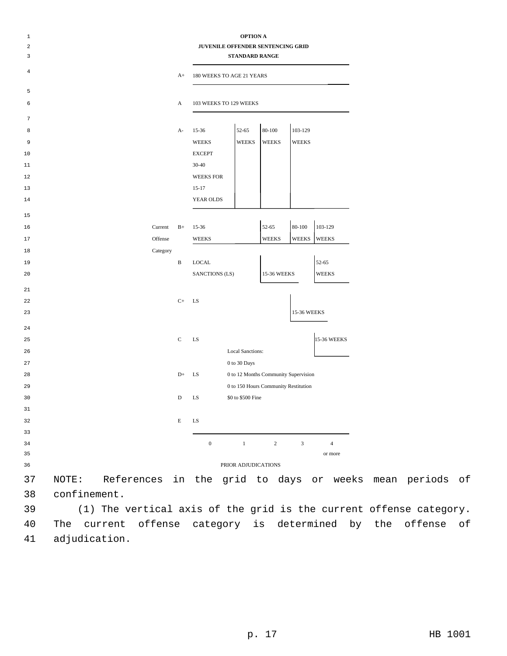| $\mathbf{1}$<br>$\overline{\mathbf{c}}$<br>3 |                     | <b>OPTION A</b><br>JUVENILE OFFENDER SENTENCING GRID<br><b>STANDARD RANGE</b> |             |                           |                                      |                |              |                |
|----------------------------------------------|---------------------|-------------------------------------------------------------------------------|-------------|---------------------------|--------------------------------------|----------------|--------------|----------------|
| 4                                            |                     |                                                                               | $A+$        | 180 WEEKS TO AGE 21 YEARS |                                      |                |              |                |
| 5                                            |                     |                                                                               |             |                           |                                      |                |              |                |
| 6                                            |                     |                                                                               | A           | 103 WEEKS TO 129 WEEKS    |                                      |                |              |                |
| 7                                            |                     |                                                                               |             |                           |                                      |                |              |                |
| 8                                            |                     |                                                                               | $A-$        | $15 - 36$                 | 52-65                                | 80-100         | 103-129      |                |
| 9                                            |                     |                                                                               |             | <b>WEEKS</b>              | <b>WEEKS</b>                         | <b>WEEKS</b>   | <b>WEEKS</b> |                |
| 10                                           |                     |                                                                               |             | <b>EXCEPT</b>             |                                      |                |              |                |
| 11                                           |                     |                                                                               |             | $30 - 40$                 |                                      |                |              |                |
| 12                                           |                     |                                                                               |             | <b>WEEKS FOR</b>          |                                      |                |              |                |
| 13                                           |                     |                                                                               |             | $15 - 17$                 |                                      |                |              |                |
| 14                                           |                     |                                                                               |             | YEAR OLDS                 |                                      |                |              |                |
| 15                                           |                     |                                                                               |             |                           |                                      |                |              |                |
| 16                                           |                     | Current                                                                       | $B+$        | $15-36$                   |                                      | 52-65          | $80 - 100$   | 103-129        |
| 17                                           |                     | Offense                                                                       |             | <b>WEEKS</b>              |                                      | <b>WEEKS</b>   | <b>WEEKS</b> | <b>WEEKS</b>   |
| 18                                           |                     | Category                                                                      |             |                           |                                      |                |              |                |
| 19                                           |                     |                                                                               | B           | <b>LOCAL</b>              |                                      |                |              | 52-65          |
| 20                                           |                     |                                                                               |             | SANCTIONS (LS)            |                                      | 15-36 WEEKS    |              | <b>WEEKS</b>   |
| 21                                           |                     |                                                                               |             |                           |                                      |                |              |                |
| 22                                           |                     |                                                                               | $C+$        | LS                        |                                      |                |              |                |
| 23                                           |                     |                                                                               |             |                           |                                      |                | 15-36 WEEKS  |                |
| 24                                           |                     |                                                                               |             |                           |                                      |                |              |                |
| 25                                           |                     |                                                                               | $\mathbf C$ | LS                        |                                      |                |              | 15-36 WEEKS    |
| 26                                           |                     |                                                                               |             |                           | <b>Local Sanctions:</b>              |                |              |                |
| 27                                           |                     |                                                                               |             |                           | 0 to 30 Days                         |                |              |                |
| 28                                           |                     |                                                                               | $D+$        | LS                        | 0 to 12 Months Community Supervision |                |              |                |
| 29                                           |                     |                                                                               |             |                           | 0 to 150 Hours Community Restitution |                |              |                |
| 30                                           |                     |                                                                               | D           | LS                        | \$0 to \$500 Fine                    |                |              |                |
| 31                                           |                     |                                                                               |             |                           |                                      |                |              |                |
| 32                                           |                     |                                                                               | Е           | LS                        |                                      |                |              |                |
| 33                                           |                     |                                                                               |             |                           |                                      |                |              |                |
| 34                                           |                     |                                                                               |             | $\boldsymbol{0}$          | $1$ and $1$ and $1$ and $1$          | $\overline{2}$ | $\mathbf{3}$ | $\overline{4}$ |
| 35                                           |                     |                                                                               |             |                           |                                      |                |              | or more        |
| 36                                           | PRIOR ADJUDICATIONS |                                                                               |             |                           |                                      |                |              |                |

 NOTE: References in the grid to days or weeks mean periods of confinement.

 (1) The vertical axis of the grid is the current offense category. The current offense category is determined by the offense of adjudication.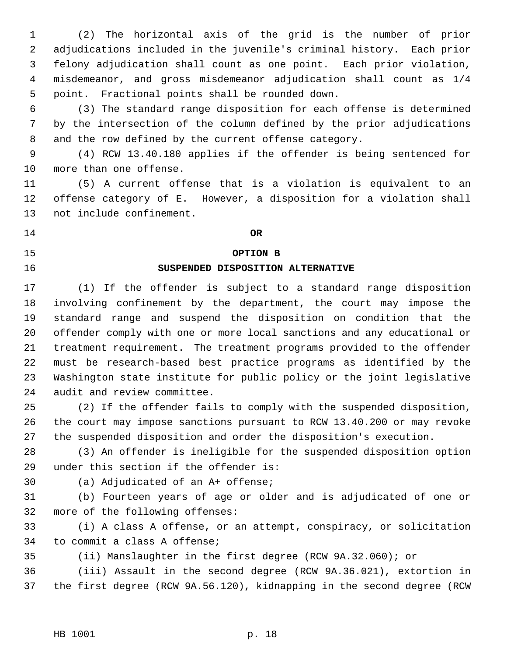(2) The horizontal axis of the grid is the number of prior adjudications included in the juvenile's criminal history. Each prior felony adjudication shall count as one point. Each prior violation, misdemeanor, and gross misdemeanor adjudication shall count as 1/4 point. Fractional points shall be rounded down.

 (3) The standard range disposition for each offense is determined by the intersection of the column defined by the prior adjudications and the row defined by the current offense category.

 (4) RCW 13.40.180 applies if the offender is being sentenced for more than one offense.

 (5) A current offense that is a violation is equivalent to an offense category of E. However, a disposition for a violation shall not include confinement.

**OR**

# **OPTION B**

## **SUSPENDED DISPOSITION ALTERNATIVE**

 (1) If the offender is subject to a standard range disposition involving confinement by the department, the court may impose the standard range and suspend the disposition on condition that the offender comply with one or more local sanctions and any educational or treatment requirement. The treatment programs provided to the offender must be research-based best practice programs as identified by the Washington state institute for public policy or the joint legislative audit and review committee.

 (2) If the offender fails to comply with the suspended disposition, the court may impose sanctions pursuant to RCW 13.40.200 or may revoke the suspended disposition and order the disposition's execution.

 (3) An offender is ineligible for the suspended disposition option under this section if the offender is:

(a) Adjudicated of an A+ offense;

 (b) Fourteen years of age or older and is adjudicated of one or more of the following offenses:

 (i) A class A offense, or an attempt, conspiracy, or solicitation to commit a class A offense;

(ii) Manslaughter in the first degree (RCW 9A.32.060); or

 (iii) Assault in the second degree (RCW 9A.36.021), extortion in the first degree (RCW 9A.56.120), kidnapping in the second degree (RCW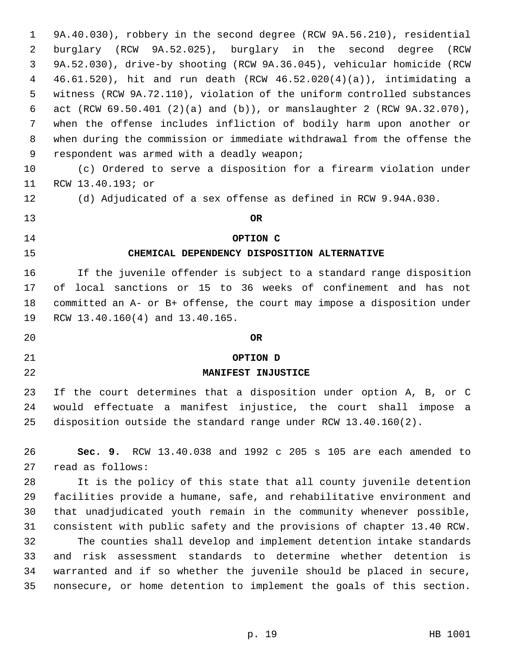9A.40.030), robbery in the second degree (RCW 9A.56.210), residential burglary (RCW 9A.52.025), burglary in the second degree (RCW 9A.52.030), drive-by shooting (RCW 9A.36.045), vehicular homicide (RCW 46.61.520), hit and run death (RCW 46.52.020(4)(a)), intimidating a witness (RCW 9A.72.110), violation of the uniform controlled substances act (RCW 69.50.401 (2)(a) and (b)), or manslaughter 2 (RCW 9A.32.070), when the offense includes infliction of bodily harm upon another or when during the commission or immediate withdrawal from the offense the respondent was armed with a deadly weapon; (c) Ordered to serve a disposition for a firearm violation under RCW 13.40.193; or (d) Adjudicated of a sex offense as defined in RCW 9.94A.030. **OR OPTION C CHEMICAL DEPENDENCY DISPOSITION ALTERNATIVE** If the juvenile offender is subject to a standard range disposition of local sanctions or 15 to 36 weeks of confinement and has not committed an A- or B+ offense, the court may impose a disposition under RCW 13.40.160(4) and 13.40.165. **OR OPTION D MANIFEST INJUSTICE** If the court determines that a disposition under option A, B, or C would effectuate a manifest injustice, the court shall impose a disposition outside the standard range under RCW 13.40.160(2). **Sec. 9.** RCW 13.40.038 and 1992 c 205 s 105 are each amended to read as follows: It is the policy of this state that all county juvenile detention facilities provide a humane, safe, and rehabilitative environment and that unadjudicated youth remain in the community whenever possible, consistent with public safety and the provisions of chapter 13.40 RCW. The counties shall develop and implement detention intake standards and risk assessment standards to determine whether detention is warranted and if so whether the juvenile should be placed in secure, nonsecure, or home detention to implement the goals of this section.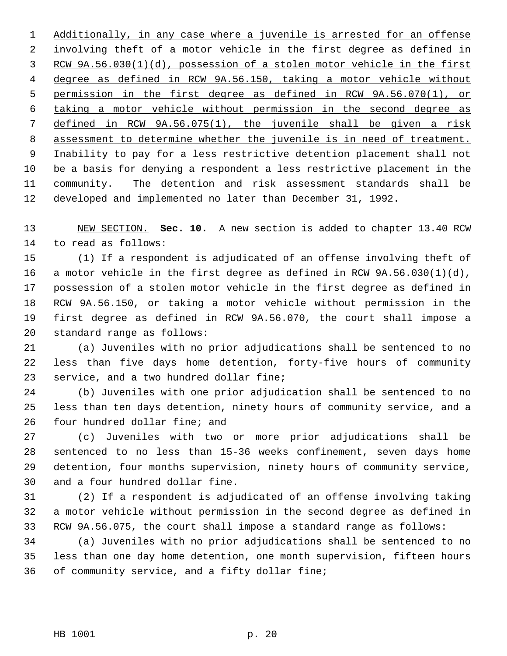Additionally, in any case where a juvenile is arrested for an offense 2 involving theft of a motor vehicle in the first degree as defined in RCW 9A.56.030(1)(d), possession of a stolen motor vehicle in the first degree as defined in RCW 9A.56.150, taking a motor vehicle without permission in the first degree as defined in RCW 9A.56.070(1), or taking a motor vehicle without permission in the second degree as defined in RCW 9A.56.075(1), the juvenile shall be given a risk assessment to determine whether the juvenile is in need of treatment. Inability to pay for a less restrictive detention placement shall not be a basis for denying a respondent a less restrictive placement in the community. The detention and risk assessment standards shall be developed and implemented no later than December 31, 1992.

 NEW SECTION. **Sec. 10.** A new section is added to chapter 13.40 RCW to read as follows:

 (1) If a respondent is adjudicated of an offense involving theft of a motor vehicle in the first degree as defined in RCW 9A.56.030(1)(d), possession of a stolen motor vehicle in the first degree as defined in RCW 9A.56.150, or taking a motor vehicle without permission in the first degree as defined in RCW 9A.56.070, the court shall impose a standard range as follows:

 (a) Juveniles with no prior adjudications shall be sentenced to no less than five days home detention, forty-five hours of community 23 service, and a two hundred dollar fine;

 (b) Juveniles with one prior adjudication shall be sentenced to no less than ten days detention, ninety hours of community service, and a four hundred dollar fine; and

 (c) Juveniles with two or more prior adjudications shall be sentenced to no less than 15-36 weeks confinement, seven days home detention, four months supervision, ninety hours of community service, and a four hundred dollar fine.

 (2) If a respondent is adjudicated of an offense involving taking a motor vehicle without permission in the second degree as defined in RCW 9A.56.075, the court shall impose a standard range as follows:

 (a) Juveniles with no prior adjudications shall be sentenced to no less than one day home detention, one month supervision, fifteen hours of community service, and a fifty dollar fine;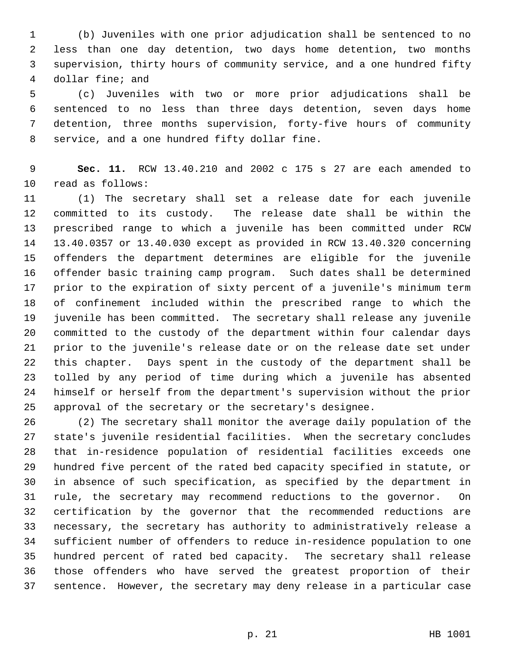(b) Juveniles with one prior adjudication shall be sentenced to no less than one day detention, two days home detention, two months supervision, thirty hours of community service, and a one hundred fifty dollar fine; and

 (c) Juveniles with two or more prior adjudications shall be sentenced to no less than three days detention, seven days home detention, three months supervision, forty-five hours of community service, and a one hundred fifty dollar fine.

 **Sec. 11.** RCW 13.40.210 and 2002 c 175 s 27 are each amended to read as follows:

 (1) The secretary shall set a release date for each juvenile committed to its custody. The release date shall be within the prescribed range to which a juvenile has been committed under RCW 13.40.0357 or 13.40.030 except as provided in RCW 13.40.320 concerning offenders the department determines are eligible for the juvenile offender basic training camp program. Such dates shall be determined prior to the expiration of sixty percent of a juvenile's minimum term of confinement included within the prescribed range to which the juvenile has been committed. The secretary shall release any juvenile committed to the custody of the department within four calendar days prior to the juvenile's release date or on the release date set under this chapter. Days spent in the custody of the department shall be tolled by any period of time during which a juvenile has absented himself or herself from the department's supervision without the prior approval of the secretary or the secretary's designee.

 (2) The secretary shall monitor the average daily population of the state's juvenile residential facilities. When the secretary concludes that in-residence population of residential facilities exceeds one hundred five percent of the rated bed capacity specified in statute, or in absence of such specification, as specified by the department in rule, the secretary may recommend reductions to the governor. On certification by the governor that the recommended reductions are necessary, the secretary has authority to administratively release a sufficient number of offenders to reduce in-residence population to one hundred percent of rated bed capacity. The secretary shall release those offenders who have served the greatest proportion of their sentence. However, the secretary may deny release in a particular case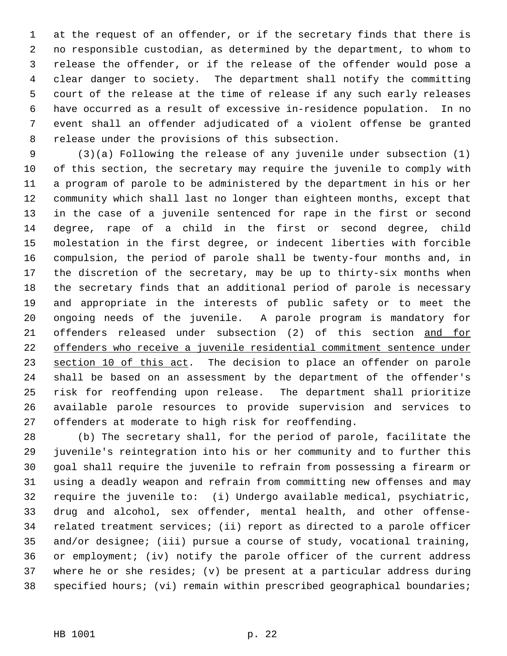at the request of an offender, or if the secretary finds that there is no responsible custodian, as determined by the department, to whom to release the offender, or if the release of the offender would pose a clear danger to society. The department shall notify the committing court of the release at the time of release if any such early releases have occurred as a result of excessive in-residence population. In no event shall an offender adjudicated of a violent offense be granted release under the provisions of this subsection.

 (3)(a) Following the release of any juvenile under subsection (1) of this section, the secretary may require the juvenile to comply with a program of parole to be administered by the department in his or her community which shall last no longer than eighteen months, except that in the case of a juvenile sentenced for rape in the first or second degree, rape of a child in the first or second degree, child molestation in the first degree, or indecent liberties with forcible compulsion, the period of parole shall be twenty-four months and, in the discretion of the secretary, may be up to thirty-six months when the secretary finds that an additional period of parole is necessary and appropriate in the interests of public safety or to meet the ongoing needs of the juvenile. A parole program is mandatory for offenders released under subsection (2) of this section and for offenders who receive a juvenile residential commitment sentence under 23 section 10 of this act. The decision to place an offender on parole shall be based on an assessment by the department of the offender's risk for reoffending upon release. The department shall prioritize available parole resources to provide supervision and services to offenders at moderate to high risk for reoffending.

 (b) The secretary shall, for the period of parole, facilitate the juvenile's reintegration into his or her community and to further this goal shall require the juvenile to refrain from possessing a firearm or using a deadly weapon and refrain from committing new offenses and may require the juvenile to: (i) Undergo available medical, psychiatric, drug and alcohol, sex offender, mental health, and other offense- related treatment services; (ii) report as directed to a parole officer and/or designee; (iii) pursue a course of study, vocational training, or employment; (iv) notify the parole officer of the current address where he or she resides; (v) be present at a particular address during specified hours; (vi) remain within prescribed geographical boundaries;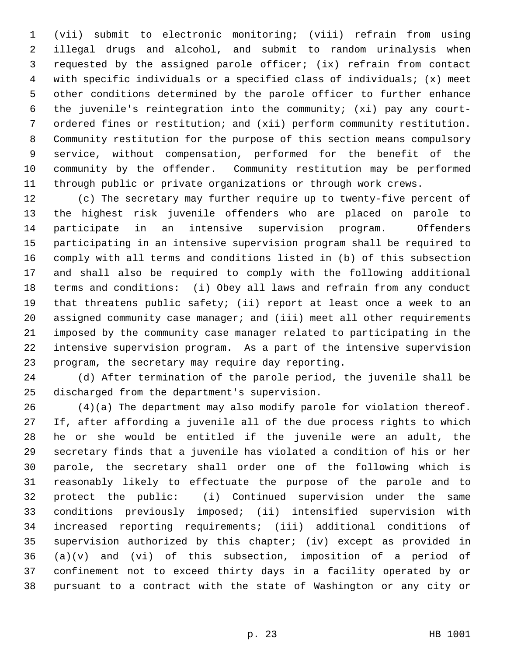(vii) submit to electronic monitoring; (viii) refrain from using illegal drugs and alcohol, and submit to random urinalysis when requested by the assigned parole officer; (ix) refrain from contact with specific individuals or a specified class of individuals; (x) meet other conditions determined by the parole officer to further enhance the juvenile's reintegration into the community; (xi) pay any court- ordered fines or restitution; and (xii) perform community restitution. Community restitution for the purpose of this section means compulsory service, without compensation, performed for the benefit of the community by the offender. Community restitution may be performed through public or private organizations or through work crews.

 (c) The secretary may further require up to twenty-five percent of the highest risk juvenile offenders who are placed on parole to participate in an intensive supervision program. Offenders participating in an intensive supervision program shall be required to comply with all terms and conditions listed in (b) of this subsection and shall also be required to comply with the following additional terms and conditions: (i) Obey all laws and refrain from any conduct that threatens public safety; (ii) report at least once a week to an assigned community case manager; and (iii) meet all other requirements imposed by the community case manager related to participating in the intensive supervision program. As a part of the intensive supervision program, the secretary may require day reporting.

 (d) After termination of the parole period, the juvenile shall be discharged from the department's supervision.

 (4)(a) The department may also modify parole for violation thereof. If, after affording a juvenile all of the due process rights to which he or she would be entitled if the juvenile were an adult, the secretary finds that a juvenile has violated a condition of his or her parole, the secretary shall order one of the following which is reasonably likely to effectuate the purpose of the parole and to protect the public: (i) Continued supervision under the same conditions previously imposed; (ii) intensified supervision with increased reporting requirements; (iii) additional conditions of supervision authorized by this chapter; (iv) except as provided in (a)(v) and (vi) of this subsection, imposition of a period of confinement not to exceed thirty days in a facility operated by or pursuant to a contract with the state of Washington or any city or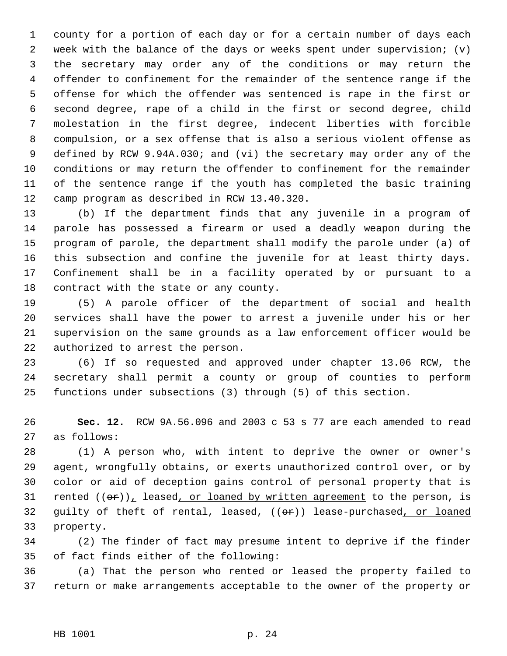county for a portion of each day or for a certain number of days each week with the balance of the days or weeks spent under supervision; (v) the secretary may order any of the conditions or may return the offender to confinement for the remainder of the sentence range if the offense for which the offender was sentenced is rape in the first or second degree, rape of a child in the first or second degree, child molestation in the first degree, indecent liberties with forcible compulsion, or a sex offense that is also a serious violent offense as defined by RCW 9.94A.030; and (vi) the secretary may order any of the conditions or may return the offender to confinement for the remainder of the sentence range if the youth has completed the basic training camp program as described in RCW 13.40.320.

 (b) If the department finds that any juvenile in a program of parole has possessed a firearm or used a deadly weapon during the program of parole, the department shall modify the parole under (a) of this subsection and confine the juvenile for at least thirty days. Confinement shall be in a facility operated by or pursuant to a contract with the state or any county.

 (5) A parole officer of the department of social and health services shall have the power to arrest a juvenile under his or her supervision on the same grounds as a law enforcement officer would be authorized to arrest the person.

 (6) If so requested and approved under chapter 13.06 RCW, the secretary shall permit a county or group of counties to perform functions under subsections (3) through (5) of this section.

 **Sec. 12.** RCW 9A.56.096 and 2003 c 53 s 77 are each amended to read as follows:

 (1) A person who, with intent to deprive the owner or owner's agent, wrongfully obtains, or exerts unauthorized control over, or by color or aid of deception gains control of personal property that is 31 rented  $((\theta \cdot r))_T$  leased, or loaned by written agreement to the person, is 32 guilty of theft of rental, leased,  $((e\mathbf{r}))$  lease-purchased, or loaned property.

 (2) The finder of fact may presume intent to deprive if the finder of fact finds either of the following:

 (a) That the person who rented or leased the property failed to return or make arrangements acceptable to the owner of the property or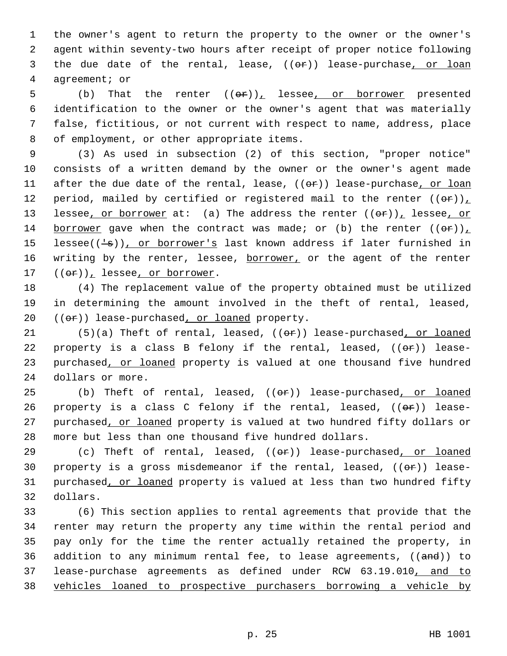the owner's agent to return the property to the owner or the owner's agent within seventy-two hours after receipt of proper notice following 3 the due date of the rental, lease,  $((e\mathbf{r}))$  lease-purchase, or loan agreement; or

5 (b) That the renter  $((\theta \hat{r}))_L$  lessee, or borrower presented identification to the owner or the owner's agent that was materially false, fictitious, or not current with respect to name, address, place of employment, or other appropriate items.

 9 (3) As used in subsection (2) of this section, "proper notice" 10 consists of a written demand by the owner or the owner's agent made 11 after the due date of the rental, lease, ((or)) lease-purchase, or loan 12 period, mailed by certified or registered mail to the renter  $((\theta \cdot \mathbf{r}))_L$ 13 lessee, or borrower at: (a) The address the renter  $((\theta \cdot \tau))_T$  lessee, or 14 borrower gave when the contract was made; or (b) the renter  $((\theta \cdot r))_T$ 15 lessee( $(\frac{1}{s})$ ), or borrower's last known address if later furnished in 16 writing by the renter, lessee, borrower, or the agent of the renter 17  $((e^*)_L$  lessee, or borrower.

18 (4) The replacement value of the property obtained must be utilized 19 in determining the amount involved in the theft of rental, leased,  $20$  (( $\Theta$ ) lease-purchased, or loaned property.

21 (5)(a) Theft of rental, leased,  $((e^p)^n)$  lease-purchased, or loaned 22 property is a class B felony if the rental, leased,  $((\theta \cdot \hat{r}))$  lease-23 purchased, or loaned property is valued at one thousand five hundred 24 dollars or more.

25 (b) Theft of rental, leased,  $((e^p))$  lease-purchased, or loaned 26 property is a class C felony if the rental, leased,  $((\theta \cdot \hat{r}))$  lease-27 purchased, or loaned property is valued at two hundred fifty dollars or 28 more but less than one thousand five hundred dollars.

29 (c) Theft of rental, leased,  $((e^*)$  lease-purchased, or loaned 30 property is a gross misdemeanor if the rental, leased,  $((\theta \cdot \mathbf{r}))$  lease-31 purchased, or loaned property is valued at less than two hundred fifty 32 dollars.

 (6) This section applies to rental agreements that provide that the renter may return the property any time within the rental period and pay only for the time the renter actually retained the property, in 36 addition to any minimum rental fee, to lease agreements,  $((and))$  to lease-purchase agreements as defined under RCW 63.19.010, and to vehicles loaned to prospective purchasers borrowing a vehicle by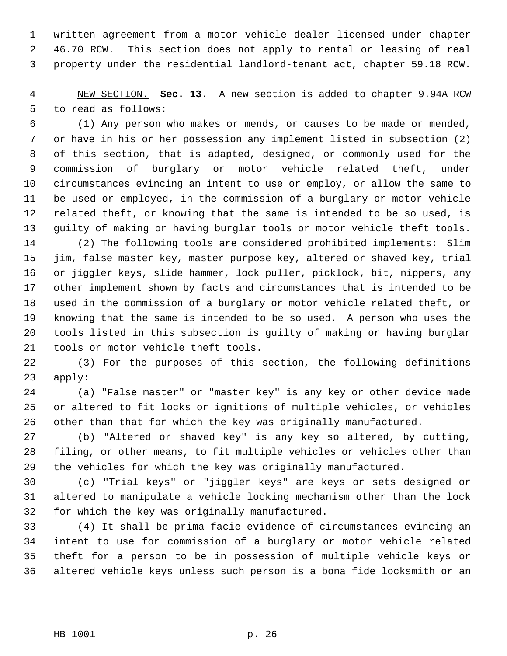written agreement from a motor vehicle dealer licensed under chapter 2 46.70 RCW. This section does not apply to rental or leasing of real property under the residential landlord-tenant act, chapter 59.18 RCW.

 NEW SECTION. **Sec. 13.** A new section is added to chapter 9.94A RCW to read as follows:

 (1) Any person who makes or mends, or causes to be made or mended, or have in his or her possession any implement listed in subsection (2) of this section, that is adapted, designed, or commonly used for the commission of burglary or motor vehicle related theft, under circumstances evincing an intent to use or employ, or allow the same to be used or employed, in the commission of a burglary or motor vehicle related theft, or knowing that the same is intended to be so used, is guilty of making or having burglar tools or motor vehicle theft tools.

 (2) The following tools are considered prohibited implements: Slim jim, false master key, master purpose key, altered or shaved key, trial or jiggler keys, slide hammer, lock puller, picklock, bit, nippers, any other implement shown by facts and circumstances that is intended to be used in the commission of a burglary or motor vehicle related theft, or knowing that the same is intended to be so used. A person who uses the tools listed in this subsection is guilty of making or having burglar tools or motor vehicle theft tools.

 (3) For the purposes of this section, the following definitions apply:

 (a) "False master" or "master key" is any key or other device made or altered to fit locks or ignitions of multiple vehicles, or vehicles other than that for which the key was originally manufactured.

 (b) "Altered or shaved key" is any key so altered, by cutting, filing, or other means, to fit multiple vehicles or vehicles other than the vehicles for which the key was originally manufactured.

 (c) "Trial keys" or "jiggler keys" are keys or sets designed or altered to manipulate a vehicle locking mechanism other than the lock for which the key was originally manufactured.

 (4) It shall be prima facie evidence of circumstances evincing an intent to use for commission of a burglary or motor vehicle related theft for a person to be in possession of multiple vehicle keys or altered vehicle keys unless such person is a bona fide locksmith or an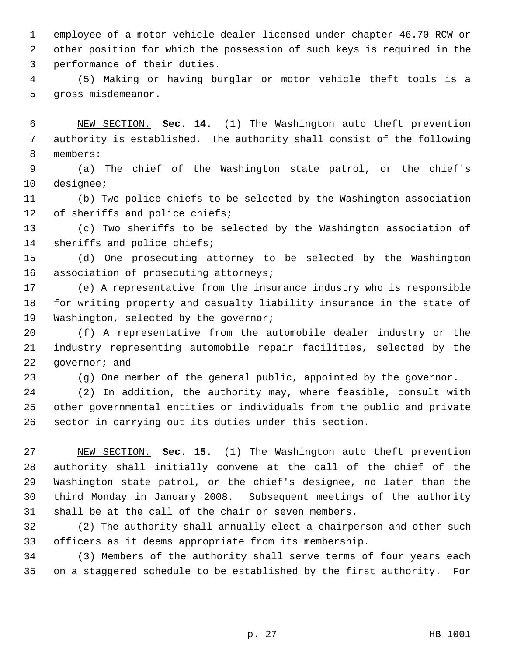employee of a motor vehicle dealer licensed under chapter 46.70 RCW or other position for which the possession of such keys is required in the performance of their duties.

 (5) Making or having burglar or motor vehicle theft tools is a gross misdemeanor.

 NEW SECTION. **Sec. 14.** (1) The Washington auto theft prevention authority is established. The authority shall consist of the following members:

 (a) The chief of the Washington state patrol, or the chief's designee;

 (b) Two police chiefs to be selected by the Washington association of sheriffs and police chiefs;

 (c) Two sheriffs to be selected by the Washington association of sheriffs and police chiefs;

 (d) One prosecuting attorney to be selected by the Washington 16 association of prosecuting attorneys;

 (e) A representative from the insurance industry who is responsible for writing property and casualty liability insurance in the state of Washington, selected by the governor;

 (f) A representative from the automobile dealer industry or the industry representing automobile repair facilities, selected by the 22 governor; and

(g) One member of the general public, appointed by the governor.

 (2) In addition, the authority may, where feasible, consult with other governmental entities or individuals from the public and private sector in carrying out its duties under this section.

 NEW SECTION. **Sec. 15.** (1) The Washington auto theft prevention authority shall initially convene at the call of the chief of the Washington state patrol, or the chief's designee, no later than the third Monday in January 2008. Subsequent meetings of the authority shall be at the call of the chair or seven members.

 (2) The authority shall annually elect a chairperson and other such officers as it deems appropriate from its membership.

 (3) Members of the authority shall serve terms of four years each on a staggered schedule to be established by the first authority. For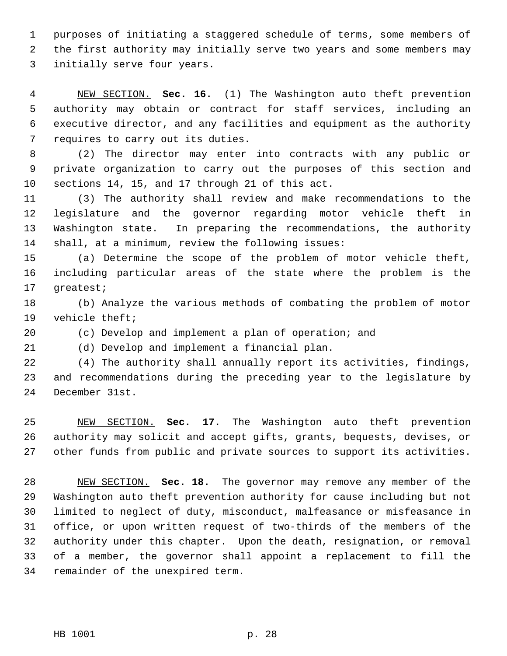purposes of initiating a staggered schedule of terms, some members of the first authority may initially serve two years and some members may initially serve four years.

 NEW SECTION. **Sec. 16.** (1) The Washington auto theft prevention authority may obtain or contract for staff services, including an executive director, and any facilities and equipment as the authority requires to carry out its duties.

 (2) The director may enter into contracts with any public or private organization to carry out the purposes of this section and sections 14, 15, and 17 through 21 of this act.

 (3) The authority shall review and make recommendations to the legislature and the governor regarding motor vehicle theft in Washington state. In preparing the recommendations, the authority shall, at a minimum, review the following issues:

 (a) Determine the scope of the problem of motor vehicle theft, including particular areas of the state where the problem is the greatest;

 (b) Analyze the various methods of combating the problem of motor vehicle theft;

(c) Develop and implement a plan of operation; and

(d) Develop and implement a financial plan.

 (4) The authority shall annually report its activities, findings, and recommendations during the preceding year to the legislature by December 31st.

 NEW SECTION. **Sec. 17.** The Washington auto theft prevention authority may solicit and accept gifts, grants, bequests, devises, or other funds from public and private sources to support its activities.

 NEW SECTION. **Sec. 18.** The governor may remove any member of the Washington auto theft prevention authority for cause including but not limited to neglect of duty, misconduct, malfeasance or misfeasance in office, or upon written request of two-thirds of the members of the authority under this chapter. Upon the death, resignation, or removal of a member, the governor shall appoint a replacement to fill the remainder of the unexpired term.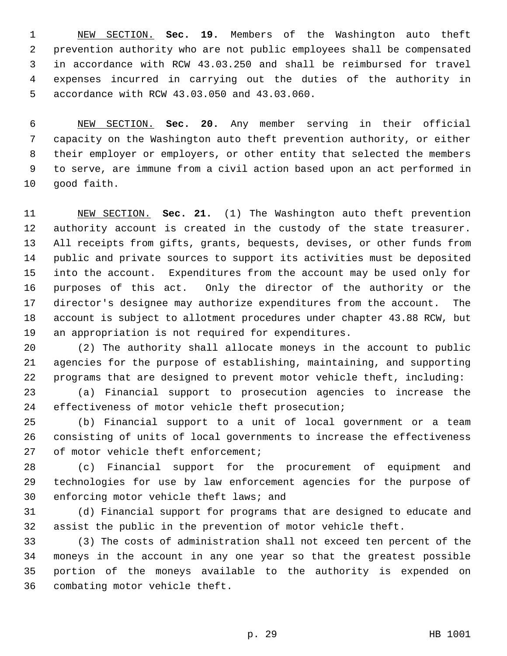NEW SECTION. **Sec. 19.** Members of the Washington auto theft prevention authority who are not public employees shall be compensated in accordance with RCW 43.03.250 and shall be reimbursed for travel expenses incurred in carrying out the duties of the authority in accordance with RCW 43.03.050 and 43.03.060.

 NEW SECTION. **Sec. 20.** Any member serving in their official capacity on the Washington auto theft prevention authority, or either their employer or employers, or other entity that selected the members to serve, are immune from a civil action based upon an act performed in good faith.

 NEW SECTION. **Sec. 21.** (1) The Washington auto theft prevention authority account is created in the custody of the state treasurer. All receipts from gifts, grants, bequests, devises, or other funds from public and private sources to support its activities must be deposited into the account. Expenditures from the account may be used only for purposes of this act. Only the director of the authority or the director's designee may authorize expenditures from the account. The account is subject to allotment procedures under chapter 43.88 RCW, but an appropriation is not required for expenditures.

 (2) The authority shall allocate moneys in the account to public agencies for the purpose of establishing, maintaining, and supporting programs that are designed to prevent motor vehicle theft, including:

 (a) Financial support to prosecution agencies to increase the effectiveness of motor vehicle theft prosecution;

 (b) Financial support to a unit of local government or a team consisting of units of local governments to increase the effectiveness 27 of motor vehicle theft enforcement;

 (c) Financial support for the procurement of equipment and technologies for use by law enforcement agencies for the purpose of enforcing motor vehicle theft laws; and

 (d) Financial support for programs that are designed to educate and assist the public in the prevention of motor vehicle theft.

 (3) The costs of administration shall not exceed ten percent of the moneys in the account in any one year so that the greatest possible portion of the moneys available to the authority is expended on combating motor vehicle theft.